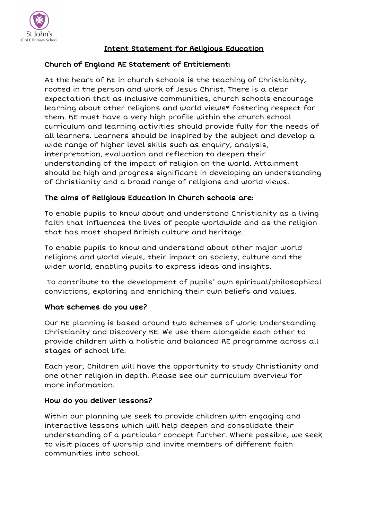

# Intent Statement for Religious Education

## Church of England RE Statement of Entitlement:

At the heart of RE in church schools is the teaching of Christianity, rooted in the person and work of Jesus Christ. There is a clear expectation that as inclusive communities, church schools encourage learning about other religions and world views\* fostering respect for them. RE must have a very high profile within the church school curriculum and learning activities should provide fully for the needs of all learners. Learners should be inspired by the subject and develop a wide range of higher level skills such as enquiry, analysis, interpretation, evaluation and reflection to deepen their understanding of the impact of religion on the world. Attainment should be high and progress significant in developing an understanding of Christianity and a broad range of religions and world views.

### The aims of Religious Education in Church schools are:

To enable pupils to know about and understand Christianity as a living faith that influences the lives of people worldwide and as the religion that has most shaped British culture and heritage.

To enable pupils to know and understand about other major world religions and world views, their impact on society, culture and the wider world, enabling pupils to express ideas and insights.

To contribute to the development of pupils' own spiritual/philosophical convictions, exploring and enriching their own beliefs and values.

#### What schemes do you use?

Our RE planning is based around two schemes of work: Understanding Christianity and Discovery RE. We use them alongside each other to provide children with a holistic and balanced RE programme across all stages of school life.

Each year, Children will have the opportunity to study Christianity and one other religion in depth. Please see our curriculum overview for more information.

## How do you deliver lessons?

Within our planning we seek to provide children with engaging and interactive lessons which will help deepen and consolidate their understanding of a particular concept further. Where possible, we seek to visit places of worship and invite members of different faith communities into school.